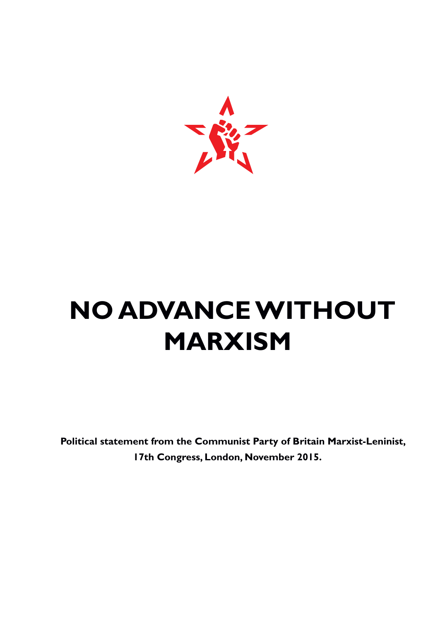

# **NO ADVANCEWITHOUT MARXISM**

**Political statement from the Communist Party of Britain Marxist-Leninist, 17th Congress, London, November 2015.**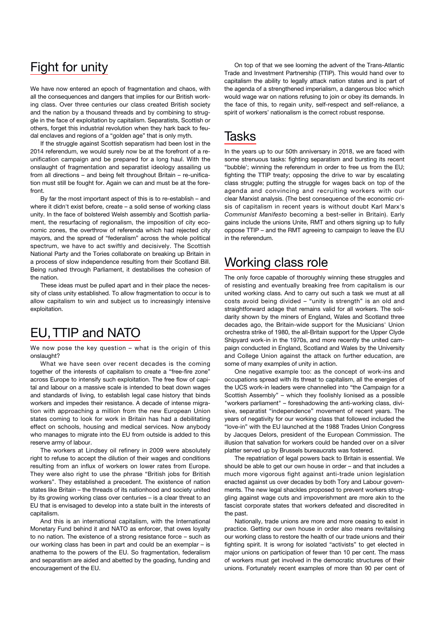## Fight for unity

We have now entered an epoch of fragmentation and chaos, with all the consequences and dangers that implies for our British working class. Over three centuries our class created British society and the nation by a thousand threads and by combining to struggle in the face of exploitation by capitalism. Separatists, Scottish or others, forget this industrial revolution when they hark back to feudal enclaves and regions of a "golden age" that is only myth.

If the struggle against Scottish separatism had been lost in the 2014 referendum, we would surely now be at the forefront of a reunification campaign and be prepared for a long haul. With the onslaught of fragmentation and separatist ideology assailing us from all directions – and being felt throughout Britain – re-unification must still be fought for. Again we can and must be at the forefront

By far the most important aspect of this is to re-establish – and where it didn't exist before, create – a solid sense of working class unity. In the face of bolstered Welsh assembly and Scottish parliament, the resurfacing of regionalism, the imposition of city economic zones, the overthrow of referenda which had rejected city mayors, and the spread of "federalism" across the whole political spectrum, we have to act swiftly and decisively. The Scottish National Party and the Tories collaborate on breaking up Britain in a process of slow independence resulting from their Scotland Bill. Being rushed through Parliament, it destabilises the cohesion of the nation.

These ideas must be pulled apart and in their place the necessity of class unity established. To allow fragmentation to occur is to allow capitalism to win and subject us to increasingly intensive exploitation.

# EU,TTIP and NATO

We now pose the key question – what is the origin of this onslaught?

What we have seen over recent decades is the coming together of the interests of capitalism to create a "free-fire zone" across Europe to intensify such exploitation. The free flow of capital and labour on a massive scale is intended to beat down wages and standards of living, to establish legal case history that binds workers and impedes their resistance. A decade of intense migration with approaching a million from the new European Union states coming to look for work in Britain has had a debilitating effect on schools, housing and medical services. Now anybody who manages to migrate into the EU from outside is added to this reserve army of labour.

The workers at Lindsey oil refinery in 2009 were absolutely right to refuse to accept the dilution of their wages and conditions resulting from an influx of workers on lower rates from Europe. They were also right to use the phrase "British jobs for British workers". They established a precedent. The existence of nation states like Britain – the threads of its nationhood and society united by its growing working class over centuries – is a clear threat to an EU that is envisaged to develop into a state built in the interests of capitalism.

And this is an international capitalism, with the International Monetary Fund behind it and NATO as enforcer, that owes loyalty to no nation. The existence of a strong resistance force – such as our working class has been in part and could be an exemplar – is anathema to the powers of the EU. So fragmentation, federalism and separatism are aided and abetted by the goading, funding and encouragement of the EU.

On top of that we see looming the advent of the Trans-Atlantic Trade and Investment Partnership (TTIP). This would hand over to capitalism the ability to legally attack nation states and is part of the agenda of a strengthened imperialism, a dangerous bloc which would wage war on nations refusing to join or obey its demands. In the face of this, to regain unity, self-respect and self-reliance, a spirit of workers' nationalism is the correct robust response.

## Tasks

In the years up to our 50th anniversary in 2018, we are faced with some strenuous tasks: fighting separatism and bursting its recent "bubble'; winning the referendum in order to free us from the EU; fighting the TTIP treaty; opposing the drive to war by escalating class struggle; putting the struggle for wages back on top of the agenda and convincing and recruiting workers with our clear Marxist analysis. (The best consequence of the economic crisis of capitalism in recent years is without doubt Karl Marx's *Communist Manifesto* becoming a best-seller in Britain). Early gains include the unions Unite, RMT and others signing up to fully oppose TTIP – and the RMT agreeing to campaign to leave the EU in the referendum.

#### Working class role

The only force capable of thoroughly winning these struggles and of resisting and eventually breaking free from capitalism is our united working class. And to carry out such a task we must at all costs avoid being divided – "unity is strength" is an old and straightforward adage that remains valid for all workers. The solidarity shown by the miners of England, Wales and Scotland three decades ago, the Britain-wide support for the Musicians' Union orchestra strike of 1980, the all-Britain support for the Upper Clyde Shipyard work-in in the 1970s, and more recently the united campaign conducted in England, Scotland and Wales by the University and College Union against the attack on further education, are some of many examples of unity in action.

One negative example too: as the concept of work-ins and occupations spread with its threat to capitalism, all the energies of the UCS work-in leaders were channelled into "the Campaign for a Scottish Assembly" – which they foolishly lionised as a possible "workers parliament" – foreshadowing the anti-working class, divisive, separatist "independence" movement of recent years. The years of negativity for our working class that followed included the "love-in" with the EU launched at the 1988 Trades Union Congress by Jacques Delors, president of the European Commission. The illusion that salvation for workers could be handed over on a silver platter served up by Brussels bureaucrats was fostered.

The repatriation of legal powers back to Britain is essential. We should be able to get our own house in order – and that includes a much more vigorous fight against anti-trade union legislation enacted against us over decades by both Tory and Labour governments. The new legal shackles proposed to prevent workers struggling against wage cuts and impoverishment are more akin to the fascist corporate states that workers defeated and discredited in the past.

Nationally, trade unions are more and more ceasing to exist in practice. Getting our own house in order also means revitalising our working class to restore the health of our trade unions and their fighting spirit. It is wrong for isolated "activists" to get elected in major unions on participation of fewer than 10 per cent. The mass of workers must get involved in the democratic structures of their unions. Fortunately recent examples of more than 90 per cent of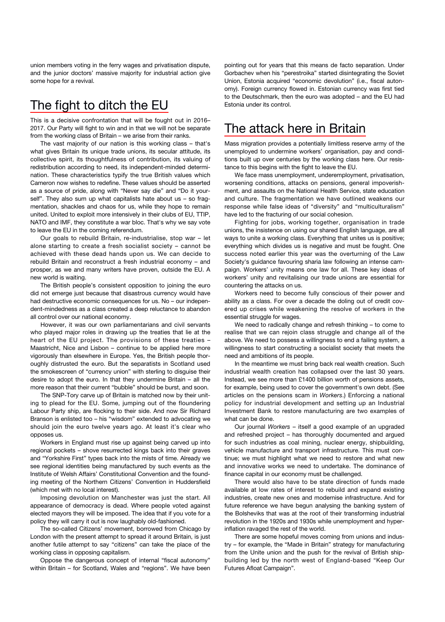union members voting in the ferry wages and privatisation dispute, and the junior doctors' massive majority for industrial action give some hope for a revival.

## The fight to ditch the EU

This is a decisive confrontation that will be fought out in 2016– 2017. Our Party will fight to win and in that we will not be separate from the working class of Britain – we arise from their ranks.

The vast majority of our nation is this working class – that's what gives Britain its unique trade unions, its secular attitude, its collective spirit, its thoughtfulness of contribution, its valuing of redistribution according to need, its independent-minded determination. These characteristics typify the true British values which Cameron now wishes to redefine. These values should be asserted as a source of pride, along with "Never say die" and "Do it yourself". They also sum up what capitalists hate about us – so fragmentation, shackles and chaos for us, while they hope to remain united. United to exploit more intensively in their clubs of EU, TTIP, NATO and IMF, they constitute a war bloc. That's why we say vote to leave the EU in the coming referendum.

Our goals to rebuild Britain, re-industrialise, stop war – let alone starting to create a fresh socialist society – cannot be achieved with these dead hands upon us. We can decide to rebuild Britain and reconstruct a fresh industrial economy – and prosper, as we and many writers have proven, outside the EU. A new world is waiting.

The British people's consistent opposition to joining the euro did not emerge just because that disastrous currency would have had destructive economic consequences for us. No – our independent-mindedness as a class created a deep reluctance to abandon all control over our national economy.

However, it was our own parliamentarians and civil servants who played major roles in drawing up the treaties that lie at the heart of the EU project. The provisions of these treaties – Maastricht, Nice and Lisbon – continue to be applied here more vigorously than elsewhere in Europe. Yes, the British people thoroughly distrusted the euro. But the separatists in Scotland used the smokescreen of "currency union" with sterling to disguise their desire to adopt the euro. In that they undermine Britain – all the more reason that their current "bubble" should be burst, and soon.

The SNP-Tory carve up of Britain is matched now by their uniting to plead for the EU. Some, jumping out of the floundering Labour Party ship, are flocking to their side. And now Sir Richard Branson is enlisted too – his "wisdom" extended to advocating we should join the euro twelve years ago. At least it's clear who opposes us.

Workers in England must rise up against being carved up into regional pockets – shove resurrected kings back into their graves and "Yorkshire First" types back into the mists of time. Already we see regional identities being manufactured by such events as the Institute of Welsh Affairs' Constitutional Convention and the founding meeting of the Northern Citizens' Convention in Huddersfield (which met with no local interest).

Imposing devolution on Manchester was just the start. All appearance of democracy is dead. Where people voted against elected mayors they will be imposed. The idea that if you vote for a policy they will carry it out is now laughably old-fashioned.

The so-called Citizens' movement, borrowed from Chicago by London with the present attempt to spread it around Britain, is just another futile attempt to say "citizens" can take the place of the working class in opposing capitalism.

Oppose the dangerous concept of internal "fiscal autonomy" within Britain – for Scotland, Wales and "regions". We have been pointing out for years that this means de facto separation. Under Gorbachev when his "perestroika" started disintegrating the Soviet Union, Estonia acquired "economic devolution" (i.e., fiscal autonomy). Foreign currency flowed in. Estonian currency was first tied to the Deutschmark, then the euro was adopted – and the EU had Estonia under its control.

## The attack here in Britain

Mass migration provides a potentially limitless reserve army of the unemployed to undermine workers' organisation, pay and conditions built up over centuries by the working class here. Our resistance to this begins with the fight to leave the EU.

We face mass unemployment, underemployment, privatisation, worsening conditions, attacks on pensions, general impoverishment, and assaults on the National Health Service, state education and culture. The fragmentation we have outlined weakens our response while false ideas of "diversity" and "multiculturalism" have led to the fracturing of our social cohesion.

Fighting for jobs, working together, organisation in trade unions, the insistence on using our shared English language, are all ways to unite a working class. Everything that unites us is positive; everything which divides us is negative and must be fought. One success noted earlier this year was the overturning of the Law Society's guidance favouring sharia law following an intense campaign. Workers' unity means one law for all. These key ideas of workers' unity and revitalising our trade unions are essential for countering the attacks on us.

Workers need to become fully conscious of their power and ability as a class. For over a decade the doling out of credit covered up crises while weakening the resolve of workers in the essential struggle for wages.

We need to radically change and refresh thinking – to come to realise that we can rejoin class struggle and change all of the above. We need to possess a willingness to end a failing system, a willingness to start constructing a socialist society that meets the need and ambitions of its people.

In the meantime we must bring back real wealth creation. Such industrial wealth creation has collapsed over the last 30 years. Instead, we see more than £1400 billion worth of pensions assets, for example, being used to cover the government's own debt. (See articles on the pensions scam in *Workers*.) Enforcing a national policy for industrial development and setting up an Industrial Investment Bank to restore manufacturing are two examples of what can be done.

Our journal *Workers* – itself a good example of an upgraded and refreshed project – has thoroughly documented and argued for such industries as coal mining, nuclear energy, shipbuilding, vehicle manufacture and transport infrastructure. This must continue; we must highlight what we need to restore and what new and innovative works we need to undertake. The dominance of finance capital in our economy must be challenged.

There would also have to be state direction of funds made available at low rates of interest to rebuild and expand existing industries, create new ones and modernise infrastructure. And for future reference we have begun analysing the banking system of the Bolsheviks that was at the root of their transforming industrial revolution in the 1920s and 1930s while unemployment and hyperinflation ravaged the rest of the world.

There are some hopeful moves coming from unions and industry – for example, the "Made in Britain" strategy for manufacturing from the Unite union and the push for the revival of British shipbuilding led by the north west of England-based "Keep Our Futures Afloat Campaign".